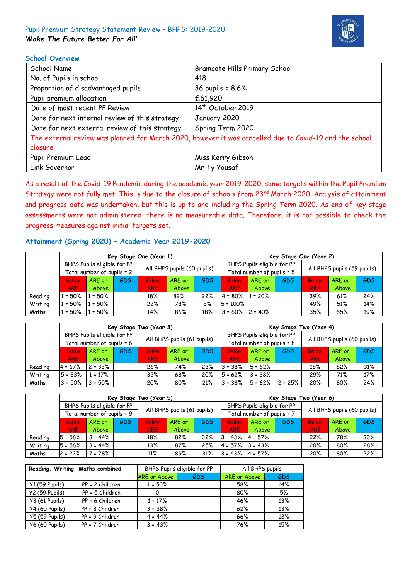*'Make The Future Better For All'*



**School Overview**

| School Name                                    | Bramcote Hills Primary School                                                                           |
|------------------------------------------------|---------------------------------------------------------------------------------------------------------|
| No. of Pupils in school                        | 418                                                                                                     |
| Proportion of disadvantaged pupils             | 36 pupils = $8.6\%$                                                                                     |
| Pupil premium allocation                       | £61,920                                                                                                 |
| Date of most recent PP Review                  | 14 <sup>th</sup> October 2019                                                                           |
| Date for next internal review of this strategy | January 2020                                                                                            |
| Date for next external review of this strategy | Spring Term 2020                                                                                        |
|                                                | The external review was planned for March 2020, however it was cancelled due to Covid-19 and the school |
| closure                                        |                                                                                                         |
| Pupil Premium Lead                             | Miss Kerry Gibson                                                                                       |
| Link Governor                                  | Mr Ty Yousaf                                                                                            |

As a result of the Covid-19 Pandemic during the academic year 2019-2020, some targets within the Pupil Premium Strategy were not fully met. This is due to the closure of schools from 23<sup>rd</sup> March 2020. Analysis of attainment and progress data was undertaken, but this is up to and including the Spring Term 2020. As end of key stage assessments were not administered, there is no measureable data. Therefore, it is not possible to check the progress measures against initial targets set.

#### **Attainment (Spring 2020) – Academic Year 2019-2020**

|         | Key Stage One (Year 1) |                             |     |                             |        |     |                              | Key Stage One (Year 2)      |     |                             |        |     |  |
|---------|------------------------|-----------------------------|-----|-----------------------------|--------|-----|------------------------------|-----------------------------|-----|-----------------------------|--------|-----|--|
|         |                        | BHPS Pupils eligible for PP |     |                             |        |     |                              | BHPS Pupils eligible for PP |     | All BHPS pupils (59 pupils) |        |     |  |
|         |                        | Total number of pupils = 2  |     | All BHPS pupils (60 pupils) |        |     | Total number of pupils $= 5$ |                             |     |                             |        |     |  |
|         | <b>Below</b>           | ARF or                      | GDS | <b>Below</b>                | ARE or | GDS | <b>Below</b>                 | ARE or                      | GDS | <b>Below</b>                | ARE or | GDS |  |
|         | ARE:                   | Above                       |     | <b>ARE</b>                  | Above  |     | ARE:                         | <b>Above</b>                |     | <b>ARE</b>                  | Above  |     |  |
| Reading | $1 - 50%$              | $1 - 50%$                   |     | 18%                         | 82%    | 22% | $14 - 80%$                   | $1 = 20%$                   |     | 39%                         | 61%    | 24% |  |
| Writing | $= 50%$                | $1 - 50%$                   |     | 22%                         | 78%    | 8%  | $5 = 100\%$                  |                             |     | 49%                         | 51%    | 14% |  |
| Maths   | 1 = 50%                | $1 - 50%$                   |     | 14%                         | 86%    | 18% | $ 3 = 60\% 2 = 40\%$         |                             |     | 35%                         | 65%    | 19% |  |

|         | Key Stage Two (Year 3) |                             |     |                             |        |     |                              | Key Stage Two (Year 4)      |           |                             |        |     |  |
|---------|------------------------|-----------------------------|-----|-----------------------------|--------|-----|------------------------------|-----------------------------|-----------|-----------------------------|--------|-----|--|
|         |                        | BHPS Pupils eligible for PP |     |                             |        |     |                              | BHPS Pupils eligible for PP |           |                             |        |     |  |
|         |                        | Total number of pupils = 6  |     | All BHPS pupils (61 pupils) |        |     | Total number of pupils $= 8$ |                             |           | All BHPS pupils (60 pupils) |        |     |  |
|         | <b>Below</b>           | ARF or                      | GDS | <b>Below</b>                | ARE or | GDS | <b>Below</b>                 | ARF or                      | GDS       | <b>Below</b>                | ARE or | GDS |  |
|         | <b>ARE</b>             | <b>Above</b>                |     | <b>ARE</b>                  | Above  |     | ARE:                         | <b>Above</b>                |           | <b>ARE</b>                  | Above  |     |  |
| Reading | $4 = 67%$              | $2 = 33\%$                  |     | 26%                         | 74%    | 23% | $3 - 38%$                    | $5 = 62%$                   |           | 18%                         | 82%    | 31% |  |
| Writing | $5 = 83%$              | $1 = 17\%$                  |     | 32%                         | 68%    | 20% | $5 = 62%$                    | $3 = 38%$                   |           | 29%                         | 71%    | 17% |  |
| Maths   | $3 - 50%$              | $3 - 50%$                   |     | 20%                         | 80%    | 21% | $3 - 38%$                    | $5 = 62%$                   | $2 = 25%$ | 20%                         | 80%    | 24% |  |

|         | Key Stage Two (Year 5) |                             |     |                             |        |        | Key Stage Two (Year 6)     |                             |     |                             |        |     |  |
|---------|------------------------|-----------------------------|-----|-----------------------------|--------|--------|----------------------------|-----------------------------|-----|-----------------------------|--------|-----|--|
|         |                        | BHPS Pupils eligible for PP |     |                             |        |        |                            | BHPS Pupils eligible for PP |     |                             |        |     |  |
|         |                        | Total number of pupils = 9  |     | All BHPS pupils (61 pupils) |        |        | Total number of pupils = 7 |                             |     | All BHPS pupils (60 pupils) |        |     |  |
|         | <b>Below</b>           | ARF or                      | GDS | <b>Below</b>                | ARE or | GDS    | <b>Below</b>               | ARF or                      | GDS | <b>Below</b>                | ARE or | GDS |  |
|         | <b>ARE</b>             | Above                       |     | ARE:                        | Above  |        | ARE:                       | Above                       |     | <b>ARE</b>                  | Above  |     |  |
| Reading | $5 - 56%$              | $3 = 44\%$                  |     | 18%                         | 82%    | $32\%$ | $3 - 43%$                  | $4 = 57%$                   |     | 22%                         | 78%    | 33% |  |
| Writing | $5 - 56%$              | $3 - 44%$                   |     | 13%                         | 87%    | 25%    | 4 = 57%                    | $3 = 43%$                   |     | 20%                         | 80%    | 28% |  |
| Maths   | $2 - 22%$              | $7 - 78%$                   |     | 11%                         | 89%    | 31%    | $3 - 43%$                  | $4 - 57%$                   |     | 20%                         | 80%    | 22% |  |

| Reading, Writing, Maths combined |                   |                     | BHPS Pupils eligible for PP | All BHPS pupils |     |  |
|----------------------------------|-------------------|---------------------|-----------------------------|-----------------|-----|--|
|                                  |                   | <b>ARE</b> or Above | <b>GDS</b>                  | ARE or Above    | GDS |  |
| <b>Y1 (59 Pupils)</b>            | $PP = 2$ Children | $1 - 50%$           |                             | 58%             | 14% |  |
| <b>Y2 (59 Pupils)</b>            | $PP = 5$ Children | 0                   |                             | 80%             | 5%  |  |
| <b>Y3 (61 Pupils)</b>            | $PP = 6$ Children | $1 = 17\%$          |                             | 46%             | 13% |  |
| <b>Y4 (60 Pupils)</b>            | PP = 8 Children   | $3 = 38%$           |                             | 62%             | 13% |  |
| Y5 (59 Pupils)                   | $PP = 9$ Children | $4 = 44%$           |                             | 66%             | 12% |  |
| <b>Y6 (60 Pupils)</b>            | $PP = 7$ Children | $3 = 43%$           |                             | 76%             | 15% |  |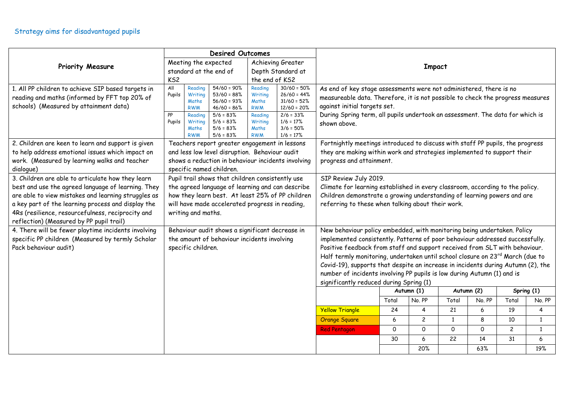|                                                                                                                                                                      |                                                                                                                                                                                                    |                     | <b>Desired Outcomes</b>                                                                                                                                                           |                                                                 |                                                                                                |                                                                                                                                                                                                                                                                                       |          |                |              |            |                |              |
|----------------------------------------------------------------------------------------------------------------------------------------------------------------------|----------------------------------------------------------------------------------------------------------------------------------------------------------------------------------------------------|---------------------|-----------------------------------------------------------------------------------------------------------------------------------------------------------------------------------|-----------------------------------------------------------------|------------------------------------------------------------------------------------------------|---------------------------------------------------------------------------------------------------------------------------------------------------------------------------------------------------------------------------------------------------------------------------------------|----------|----------------|--------------|------------|----------------|--------------|
| <b>Priority Measure</b>                                                                                                                                              |                                                                                                                                                                                                    |                     | Meeting the expected                                                                                                                                                              |                                                                 | Achieving Greater                                                                              | <b>Impact</b>                                                                                                                                                                                                                                                                         |          |                |              |            |                |              |
|                                                                                                                                                                      | standard at the end of                                                                                                                                                                             |                     |                                                                                                                                                                                   | Depth Standard at                                               |                                                                                                |                                                                                                                                                                                                                                                                                       |          |                |              |            |                |              |
|                                                                                                                                                                      | KS <sub>2</sub>                                                                                                                                                                                    |                     |                                                                                                                                                                                   |                                                                 | the end of KS2                                                                                 |                                                                                                                                                                                                                                                                                       |          |                |              |            |                |              |
| 1. All PP children to achieve SIP based targets in<br>reading and maths (informed by FFT top 20% of<br>schools) (Measured by attainment data)                        | $54/60 = 90%$<br>All<br>Reading<br>Pupils<br>Writing<br>$53/60 = 88%$<br>$56/60 = 93%$<br>Maths<br>$46/60 = 86%$<br><b>RWM</b><br>PP<br>$5/6 = 83%$<br>Reading<br>$5/6 = 83%$<br>Pupils<br>Writing |                     |                                                                                                                                                                                   | Reading<br>Writing<br>Maths<br><b>RWM</b><br>Reading<br>Writing | $30/60 = 50%$<br>$26/60 = 44%$<br>$31/60 = 52%$<br>$12/60 = 20%$<br>$2/6 = 33%$<br>$1/6 = 17%$ | As end of key stage assessments were not administered, there is no<br>measureable data. Therefore, it is not possible to check the progress measures<br>against initial targets set.<br>During Spring term, all pupils undertook an assessment. The data for which is<br>shown above. |          |                |              |            |                |              |
|                                                                                                                                                                      |                                                                                                                                                                                                    | Maths<br><b>RWM</b> | $5/6 = 83%$<br>$5/6 = 83%$                                                                                                                                                        | Maths<br><b>RWM</b>                                             | $3/6 = 50%$<br>$1/6 = 17%$                                                                     |                                                                                                                                                                                                                                                                                       |          |                |              |            |                |              |
| 2. Children are keen to learn and support is given<br>to help address emotional issues which impact on<br>work. (Measured by learning walks and teacher<br>dialogue) |                                                                                                                                                                                                    |                     | Teachers report greater engagement in lessons<br>and less low level disruption. Behaviour audit<br>shows a reduction in behaviour incidents involving<br>specific named children. |                                                                 |                                                                                                | Fortnightly meetings introduced to discuss with staff PP pupils, the progress<br>they are making within work and strategies implemented to support their<br>progress and attainment.                                                                                                  |          |                |              |            |                |              |
| 3. Children are able to articulate how they learn                                                                                                                    |                                                                                                                                                                                                    |                     | Pupil trail shows that children consistently use                                                                                                                                  |                                                                 |                                                                                                | SIP Review July 2019.                                                                                                                                                                                                                                                                 |          |                |              |            |                |              |
| best and use the agreed language of learning. They                                                                                                                   |                                                                                                                                                                                                    |                     | the agreed language of learning and can describe                                                                                                                                  |                                                                 |                                                                                                | Climate for learning established in every classroom, according to the policy.                                                                                                                                                                                                         |          |                |              |            |                |              |
| are able to view mistakes and learning struggles as                                                                                                                  |                                                                                                                                                                                                    |                     | how they learn best. At least 25% of PP children                                                                                                                                  |                                                                 |                                                                                                | Children demonstrate a growing understanding of learning powers and are                                                                                                                                                                                                               |          |                |              |            |                |              |
| a key part of the learning process and display the                                                                                                                   |                                                                                                                                                                                                    |                     | will have made accelerated progress in reading,                                                                                                                                   |                                                                 |                                                                                                | referring to these when talking about their work.                                                                                                                                                                                                                                     |          |                |              |            |                |              |
| 4Rs (resilience, resourcefulness, reciprocity and                                                                                                                    |                                                                                                                                                                                                    | writing and maths.  |                                                                                                                                                                                   |                                                                 |                                                                                                |                                                                                                                                                                                                                                                                                       |          |                |              |            |                |              |
| reflection) (Measured by PP pupil trail)                                                                                                                             |                                                                                                                                                                                                    |                     |                                                                                                                                                                                   |                                                                 |                                                                                                |                                                                                                                                                                                                                                                                                       |          |                |              |            |                |              |
| 4. There will be fewer playtime incidents involving                                                                                                                  |                                                                                                                                                                                                    |                     | Behaviour audit shows a significant decrease in                                                                                                                                   |                                                                 |                                                                                                | New behaviour policy embedded, with monitoring being undertaken. Policy                                                                                                                                                                                                               |          |                |              |            |                |              |
| specific PP children (Measured by termly Scholar                                                                                                                     |                                                                                                                                                                                                    |                     | the amount of behaviour incidents involving                                                                                                                                       |                                                                 |                                                                                                | implemented consistently. Patterns of poor behaviour addressed successfully.                                                                                                                                                                                                          |          |                |              |            |                |              |
| Pack behaviour audit)                                                                                                                                                |                                                                                                                                                                                                    | specific children.  |                                                                                                                                                                                   |                                                                 |                                                                                                | Positive feedback from staff and support received from SLT with behaviour.                                                                                                                                                                                                            |          |                |              |            |                |              |
|                                                                                                                                                                      |                                                                                                                                                                                                    |                     |                                                                                                                                                                                   |                                                                 |                                                                                                | Half termly monitoring, undertaken until school closure on 23rd March (due to                                                                                                                                                                                                         |          |                |              |            |                |              |
|                                                                                                                                                                      |                                                                                                                                                                                                    |                     |                                                                                                                                                                                   |                                                                 |                                                                                                | Covid-19), supports that despite an increase in incidents during Autumn (2), the                                                                                                                                                                                                      |          |                |              |            |                |              |
|                                                                                                                                                                      |                                                                                                                                                                                                    |                     |                                                                                                                                                                                   |                                                                 |                                                                                                | number of incidents involving PP pupils is low during Autumn (1) and is                                                                                                                                                                                                               |          |                |              |            |                |              |
|                                                                                                                                                                      |                                                                                                                                                                                                    |                     |                                                                                                                                                                                   |                                                                 |                                                                                                | significantly reduced during Spring (1)                                                                                                                                                                                                                                               |          |                |              |            |                |              |
|                                                                                                                                                                      |                                                                                                                                                                                                    |                     |                                                                                                                                                                                   |                                                                 |                                                                                                |                                                                                                                                                                                                                                                                                       | Total    | Autumn (1)     | Total        | Autumn (2) | Total          | Spring (1)   |
|                                                                                                                                                                      |                                                                                                                                                                                                    |                     |                                                                                                                                                                                   |                                                                 |                                                                                                |                                                                                                                                                                                                                                                                                       |          | No. PP         |              | No. PP     |                | No. PP       |
|                                                                                                                                                                      |                                                                                                                                                                                                    |                     |                                                                                                                                                                                   |                                                                 |                                                                                                | <b>Yellow Triangle</b>                                                                                                                                                                                                                                                                | 24       | 4              | 21           | 6          | 19             | 4            |
|                                                                                                                                                                      |                                                                                                                                                                                                    |                     |                                                                                                                                                                                   |                                                                 |                                                                                                | <b>Orange Square</b>                                                                                                                                                                                                                                                                  | 6        | $\overline{c}$ | $\mathbf{1}$ | 8          | 10             | 1            |
|                                                                                                                                                                      |                                                                                                                                                                                                    |                     |                                                                                                                                                                                   |                                                                 |                                                                                                | <b>Red Pentagon</b>                                                                                                                                                                                                                                                                   | $\Omega$ | $\Omega$       | $\Omega$     | 0          | $\overline{c}$ | $\mathbf{1}$ |
|                                                                                                                                                                      |                                                                                                                                                                                                    |                     |                                                                                                                                                                                   |                                                                 |                                                                                                |                                                                                                                                                                                                                                                                                       | 30       | 6              | 22           | 14         | 31             | 6            |
|                                                                                                                                                                      |                                                                                                                                                                                                    |                     |                                                                                                                                                                                   |                                                                 |                                                                                                |                                                                                                                                                                                                                                                                                       |          | 20%            |              | 63%        |                | 19%          |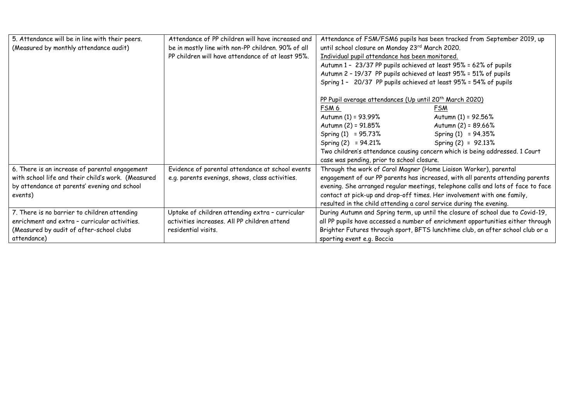| 5. Attendance will be in line with their peers.    | Attendance of PP children will have increased and  |                                                                         | Attendance of FSM/FSM6 pupils has been tracked from September 2019, up           |
|----------------------------------------------------|----------------------------------------------------|-------------------------------------------------------------------------|----------------------------------------------------------------------------------|
| (Measured by monthly attendance audit)             | be in mostly line with non-PP children. 90% of all | until school closure on Monday 23rd March 2020.                         |                                                                                  |
|                                                    | PP children will have attendance of at least 95%.  | Individual pupil attendance has been monitored.                         |                                                                                  |
|                                                    |                                                    | Autumn 1 - 23/37 PP pupils achieved at least 95% = 62% of pupils        |                                                                                  |
|                                                    |                                                    | Autumn 2 - 19/37 PP pupils achieved at least 95% = 51% of pupils        |                                                                                  |
|                                                    |                                                    | Spring 1 - 20/37 PP pupils achieved at least 95% = 54% of pupils        |                                                                                  |
|                                                    |                                                    | PP Pupil average attendances (Up until 20 <sup>th</sup> March 2020)     |                                                                                  |
|                                                    |                                                    | FSM <sub>6</sub>                                                        | <b>FSM</b>                                                                       |
|                                                    |                                                    | Autumn (1) = 93.99%                                                     | Autumn (1) = 92.56%                                                              |
|                                                    |                                                    | Autumn (2) = 91.85%                                                     | Autumn (2) = 89.66%                                                              |
|                                                    |                                                    | Spring $(1) = 95.73%$                                                   | Spring $(1) = 94.35%$                                                            |
|                                                    |                                                    | Spring $(2) = 94.21%$                                                   | Spring $(2) = 92.13%$                                                            |
|                                                    |                                                    |                                                                         | Two children's attendance causing concern which is being addressed. 1 Court      |
|                                                    |                                                    | case was pending, prior to school closure.                              |                                                                                  |
| 6. There is an increase of parental engagement     | Evidence of parental attendance at school events   | Through the work of Carol Magner (Home Liaison Worker), parental        |                                                                                  |
| with school life and their child's work. (Measured | e.g. parents evenings, shows, class activities.    |                                                                         | engagement of our PP parents has increased, with all parents attending parents   |
| by attendance at parents' evening and school       |                                                    |                                                                         | evening. She arranged regular meetings, telephone calls and lots of face to face |
| events)                                            |                                                    | contact at pick-up and drop-off times. Her involvement with one family, |                                                                                  |
|                                                    |                                                    | resulted in the child attending a carol service during the evening.     |                                                                                  |
| 7. There is no barrier to children attending       | Uptake of children attending extra - curricular    |                                                                         | During Autumn and Spring term, up until the closure of school due to Covid-19,   |
| enrichment and extra - curricular activities.      | activities increases. All PP children attend       |                                                                         | all PP pupils have accessed a number of enrichment opportunities either through  |
| (Measured by audit of after-school clubs           | residential visits.                                |                                                                         | Brighter Futures through sport, BFTS lunchtime club, an after school club or a   |
| attendance)                                        |                                                    | sporting event e.g. Boccia                                              |                                                                                  |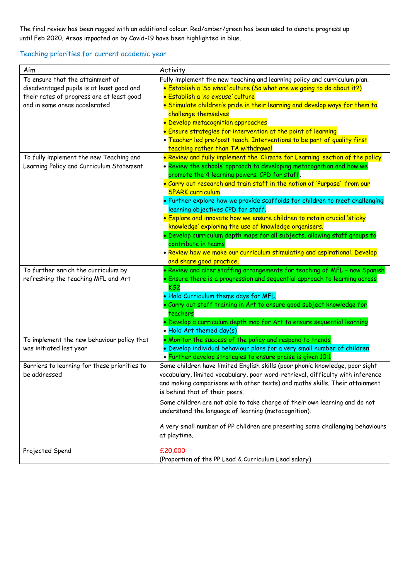The final review has been ragged with an additional colour. Red/amber/green has been used to denote progress up until Feb 2020. Areas impacted on by Covid-19 have been highlighted in blue.

### Teaching priorities for current academic year

| Aim                                                                                                                                                         | Activity                                                                                                                                                                                                                                                                                                                                                                                                                                                                                                                                                                                                                                                                                                                                                                              |
|-------------------------------------------------------------------------------------------------------------------------------------------------------------|---------------------------------------------------------------------------------------------------------------------------------------------------------------------------------------------------------------------------------------------------------------------------------------------------------------------------------------------------------------------------------------------------------------------------------------------------------------------------------------------------------------------------------------------------------------------------------------------------------------------------------------------------------------------------------------------------------------------------------------------------------------------------------------|
| To ensure that the attainment of<br>disadvantaged pupils is at least good and<br>their rates of progress are at least good<br>and in some areas accelerated | Fully implement the new teaching and learning policy and curriculum plan.<br>· Establish a 'So what' culture (So what are we going to do about it?)<br>· Establish a 'no excuse' culture<br>. Stimulate children's pride in their learning and develop ways for them to<br>challenge themselves<br>· Develop metacognition approaches<br>. Ensure strategies for intervention at the point of learning<br>. Teacher led pre/post teach. Interventions to be part of quality first<br>teaching rather than TA withdrawal                                                                                                                                                                                                                                                               |
| To fully implement the new Teaching and<br>Learning Policy and Curriculum Statement                                                                         | . Review and fully implement the 'Climate for Learning' section of the policy<br>. Review the schools' approach to developing metacognition and how we<br>promote the 4 learning powers. CPD for staff.<br>. Carry out research and train staff in the notion of 'Purpose' from our<br><b>SPARK curriculum</b><br>. Further explore how we provide scaffolds for children to meet challenging<br>learning objectives CPD for staff.<br>. Explore and innovate how we ensure children to retain crucial 'sticky<br>knowledge' exploring the use of knowledge organisers.<br>. Develop curriculum depth maps for all subjects, allowing staff groups to<br>contribute in teams<br>. Review how we make our curriculum stimulating and aspirational. Develop<br>and share good practice. |
| To further enrich the curriculum by<br>refreshing the teaching MFL and Art                                                                                  | Review and alter staffing arrangements for teaching of MFL - now Spanish<br>• Ensure there is a progression and sequential approach to learning across<br>K <sub>S</sub> 2<br>. Hold Curriculum theme days for MFL.<br>· Carry out staff training in Art to ensure good subject knowledge for<br>teachers<br>. Develop a curriculum depth map for Art to ensure sequential learning<br>. Hold Art themed day(s)                                                                                                                                                                                                                                                                                                                                                                       |
| To implement the new behaviour policy that<br>was initiated last year                                                                                       | . Monitor the success of the policy and respond to trends<br>. Develop individual behaviour plans for a very small number of children<br>. Further develop strategies to ensure praise is given 10:1                                                                                                                                                                                                                                                                                                                                                                                                                                                                                                                                                                                  |
| Barriers to learning for these priorities to<br>be addressed                                                                                                | Some children have limited English skills (poor phonic knowledge, poor sight<br>vocabulary, limited vocabulary, poor word-retrieval, difficulty with inference<br>and making comparisons with other texts) and maths skills. Their attainment<br>is behind that of their peers.<br>Some children are not able to take charge of their own learning and do not<br>understand the language of learning (metacognition).<br>A very small number of PP children are presenting some challenging behaviours<br>at playtime.                                                                                                                                                                                                                                                                |
| Projected Spend                                                                                                                                             | £20,000<br>(Proportion of the PP Lead & Curriculum Lead salary)                                                                                                                                                                                                                                                                                                                                                                                                                                                                                                                                                                                                                                                                                                                       |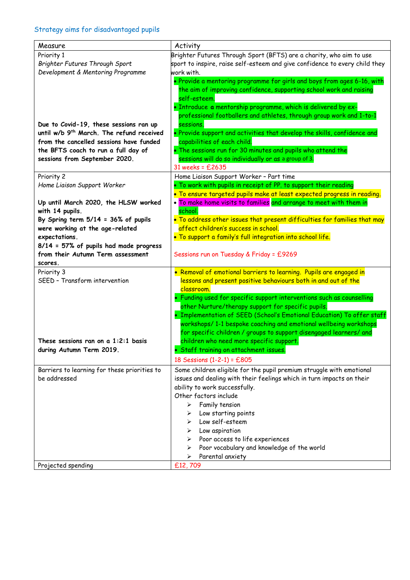## Strategy aims for disadvantaged pupils

| Measure                                              | Activity                                                                                                                     |
|------------------------------------------------------|------------------------------------------------------------------------------------------------------------------------------|
| Priority 1                                           | Brighter Futures Through Sport (BFTS) are a charity, who aim to use                                                          |
| Brighter Futures Through Sport                       | sport to inspire, raise self-esteem and give confidence to every child they                                                  |
| Development & Mentoring Programme                    | work with.                                                                                                                   |
|                                                      | . Provide a mentoring programme for girls and boys from ages 6-16, with                                                      |
|                                                      | the aim of improving confidence, supporting school work and raising                                                          |
|                                                      | self-esteem.                                                                                                                 |
|                                                      | . Introduce a mentorship programme, which is delivered by ex-                                                                |
|                                                      | professional footballers and athletes, through group work and 1-to-1                                                         |
| Due to Covid-19, these sessions ran up               | sessions.                                                                                                                    |
| until w/b 9 <sup>th</sup> March. The refund received | . Provide support and activities that develop the skills, confidence and                                                     |
| from the cancelled sessions have funded              | capabilities of each child.                                                                                                  |
| the BFTS coach to run a full day of                  | . The sessions run for 30 minutes and pupils who attend the                                                                  |
| sessions from September 2020.                        | sessions will do so individually or as a group of 3.                                                                         |
|                                                      | 31 weeks = £2635                                                                                                             |
| Priority 2                                           | Home Liaison Support Worker - Part time                                                                                      |
| Home Liaison Support Worker                          | . To work with pupils in receipt of PP. to support their reading                                                             |
|                                                      | • To ensure targeted pupils make at least expected progress in reading.                                                      |
| Up until March 2020, the HLSW worked                 | • To make home visits to families and arrange to meet with them in                                                           |
| with 14 pupils.                                      | school.                                                                                                                      |
| By Spring term $5/14 = 36%$ of pupils                | . To address other issues that present difficulties for families that may                                                    |
| were working at the age-related                      | affect children's success in school.                                                                                         |
| expectations.                                        | • To support a family's full integration into school life.                                                                   |
| 8/14 = 57% of pupils had made progress               |                                                                                                                              |
| from their Autumn Term assessment                    | Sessions run on Tuesday & Friday = £9269                                                                                     |
| scores.                                              |                                                                                                                              |
| Priority 3                                           | • Removal of emotional barriers to learning. Pupils are engaged in                                                           |
| SEED - Transform intervention                        | lessons and present positive behaviours both in and out of the                                                               |
|                                                      | classroom.                                                                                                                   |
|                                                      | . Funding used for specific support interventions such as counselling                                                        |
|                                                      | other Nurture/therapy support for specific pupils.<br>• Implementation of SEED (School's Emotional Education) To offer staff |
|                                                      | workshops/1-1 bespoke coaching and emotional wellbeing workshops                                                             |
|                                                      | for specific children / groups to support disengaged learners/ and                                                           |
| These sessions ran on a $1:2:1$ basis                | children who need more specific support.                                                                                     |
| during Autumn Term 2019.                             | Staff training on attachment issues.                                                                                         |
|                                                      |                                                                                                                              |
|                                                      | 18 Sessions (1-2-1) = £805                                                                                                   |
| Barriers to learning for these priorities to         | Some children eligible for the pupil premium struggle with emotional                                                         |
| be addressed                                         | issues and dealing with their feelings which in turn impacts on their                                                        |
|                                                      | ability to work successfully.                                                                                                |
|                                                      | Other factors include                                                                                                        |
|                                                      | Family tension<br>⋗                                                                                                          |
|                                                      | Low starting points                                                                                                          |
|                                                      | Low self-esteem<br>⋗                                                                                                         |
|                                                      | Low aspiration<br>≻                                                                                                          |
|                                                      | Poor access to life experiences<br>➤                                                                                         |
|                                                      | Poor vocabulary and knowledge of the world<br>➤                                                                              |
|                                                      | Parental anxiety<br>➤                                                                                                        |
| Projected spending                                   | £12,709                                                                                                                      |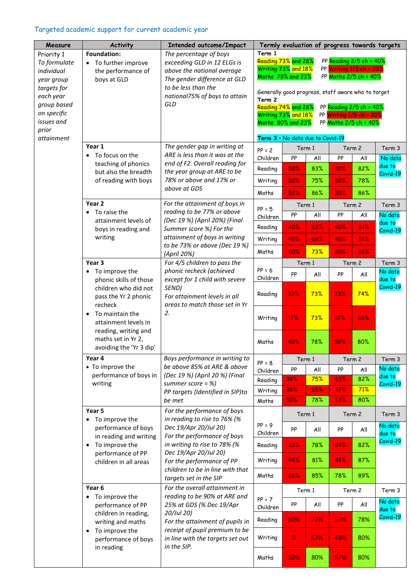# Targeted academic support for current academic year

| Measure                                                               | <b>Activity</b>                                                                            | Intended outcome/Impact                                                                                                                     | Termly evaluation of progress towards targets                                                                                                                                                                       |                |            |            |            |                   |  |
|-----------------------------------------------------------------------|--------------------------------------------------------------------------------------------|---------------------------------------------------------------------------------------------------------------------------------------------|---------------------------------------------------------------------------------------------------------------------------------------------------------------------------------------------------------------------|----------------|------------|------------|------------|-------------------|--|
| Priority 1<br>To formulate<br>individual<br>year group<br>targets for | <b>Foundation:</b><br>To further improve<br>$\bullet$<br>the performance of<br>boys at GLD | The percentage of boys<br>exceeding GLD in 12 ELGs is<br>above the national average<br>The gender difference at GLD<br>to be less than the  | Term 1<br>Reading 73% and 28%<br>PP Reading $2/5$ ch = $40\%$<br>Writing 73% and 18%<br>PP Writing 1/5 ch = 20%<br>Maths 78% and 23%<br>PP Maths 2/5 ch = 40%                                                       |                |            |            |            |                   |  |
| each year<br>group based<br>on specific<br>issues and<br>prior        |                                                                                            | national75% of boys to attain<br>GLD                                                                                                        | Generally good progress, staff aware who to target<br>Term 2<br>PP Reading $2/5$ ch = $40\%$<br>Reading 74% and 28%<br>Writing 73% and 18%<br>PP Writing 1/5 ch = 20%<br>Maths 80% and 23%<br>PP Maths 2/5 ch = 40% |                |            |            |            |                   |  |
| attainment                                                            |                                                                                            |                                                                                                                                             | Term 3 - No data due to Covid-19                                                                                                                                                                                    |                |            |            |            |                   |  |
|                                                                       | Year 1<br>$\bullet$                                                                        | The gender gap in writing at<br>ARE is less than it was at the                                                                              | $PP = 2$                                                                                                                                                                                                            |                | Term 1     |            | Term 2     | Term 3            |  |
|                                                                       | To focus on the<br>teaching of phonics                                                     | end of F2. Overall reading for                                                                                                              | Children                                                                                                                                                                                                            | PP             | All        | PP         | All        | No data<br>due to |  |
|                                                                       | but also the breadth                                                                       | the year group at ARE to be                                                                                                                 | Reading                                                                                                                                                                                                             | 50%            | 83%        | 50%        | 82%        | Covid-19          |  |
|                                                                       | of reading with boys                                                                       | 78% or above and 17% or<br>above at GDS                                                                                                     | Writing                                                                                                                                                                                                             | 50%            | 75%        | 50%        | 78%        |                   |  |
|                                                                       |                                                                                            |                                                                                                                                             | Maths                                                                                                                                                                                                               | 50%            | 86%        | 50%        | 86%        |                   |  |
|                                                                       | Year <sub>2</sub><br>To raise the<br>$\bullet$                                             | For the attainment of boys in<br>reading to be 77% or above                                                                                 | $PP = 5$                                                                                                                                                                                                            |                | Term 1     |            | Term 2     | Term 3            |  |
|                                                                       | attainment levels of                                                                       | (Dec 19 %) (April 20%) (Final                                                                                                               | Children                                                                                                                                                                                                            | PP             | All        | PP         | All        | No data<br>due to |  |
|                                                                       | boys in reading and                                                                        | Summer score %) For the                                                                                                                     | Reading                                                                                                                                                                                                             | 40%            | 69%        | 40%        | 61%        | Covid-19          |  |
|                                                                       | writing                                                                                    | attainment of boys in writing<br>to be 73% or above (Dec 19 %)                                                                              | Writing                                                                                                                                                                                                             | 40%            | 69%        | 40%        | 51%        |                   |  |
|                                                                       |                                                                                            | (April 20%)                                                                                                                                 | Maths                                                                                                                                                                                                               | 60%            | 73%        | 60%        | 65%        |                   |  |
|                                                                       | Year 3                                                                                     | For 4/5 children to pass the                                                                                                                |                                                                                                                                                                                                                     | Term 1         |            | Term 2     |            | Term 3            |  |
|                                                                       | To improve the<br>phonic skills of those                                                   | phonic recheck (achieved<br>except for 1 child with severe<br>SEND)<br>For attainment levels in all<br>areas to match those set in Yr<br>2. | $PP = 6$<br>Children                                                                                                                                                                                                | PP             | All        | PP         | All        | No data<br>due to |  |
|                                                                       | children who did not<br>pass the Yr 2 phonic<br>recheck                                    |                                                                                                                                             | Reading                                                                                                                                                                                                             | 33%            | 73%        | 33%        | 74%        | Covid-19          |  |
|                                                                       | To maintain the<br>$\bullet$<br>attainment levels in                                       |                                                                                                                                             | Writing                                                                                                                                                                                                             | 17%            | 73%        | 17%        | 68%        |                   |  |
|                                                                       | reading, writing and<br>maths set in Yr 2,<br>avoiding the 'Yr 3 dip'                      |                                                                                                                                             | Maths                                                                                                                                                                                                               | 40%            | 78%        | 50%        | 80%        |                   |  |
|                                                                       | Year 4                                                                                     | Boys performance in writing to<br>be above 85% at ARE & above                                                                               | $PP = 8$                                                                                                                                                                                                            | Term 1         |            | Term 2     |            | Term 3            |  |
|                                                                       | • To improve the<br>performance of boys in                                                 | (Dec 19 %) (April 20 %) (Final                                                                                                              | Children                                                                                                                                                                                                            | PP             | All        | PP         | All        | No data<br>due to |  |
|                                                                       | writing                                                                                    | summer score = $%$ )                                                                                                                        | Reading                                                                                                                                                                                                             | 38%            | 75%        | 63%<br>37% | 82%        | Covid-19          |  |
|                                                                       |                                                                                            | PP targets (Identified in SIP)to                                                                                                            | Writing                                                                                                                                                                                                             | 38%<br>50%     | 65%<br>78% | 63%        | 71%<br>80% |                   |  |
|                                                                       | Year 5                                                                                     | be met<br>For the performance of boys                                                                                                       | Maths                                                                                                                                                                                                               |                |            |            |            |                   |  |
|                                                                       | To improve the                                                                             | in reading to rise to 76% (%                                                                                                                |                                                                                                                                                                                                                     |                | Term 1     |            | Term 2     | Term 3            |  |
|                                                                       | performance of boys                                                                        | Dec 19/Apr 20/Jul 20)                                                                                                                       | $PP = 9$<br>Children                                                                                                                                                                                                | PP             | All        | PP         | All        | No data<br>due to |  |
|                                                                       | in reading and writing<br>To improve the<br>$\bullet$<br>performance of PP                 | For the performance of boys<br>in writing to rise to 78% (%<br>Dec 19/Apr 20/Jul 20)                                                        | Reading                                                                                                                                                                                                             | 33%            | 78%        | 44%        | 82%        | Covid-19          |  |
|                                                                       | children in all areas                                                                      | For the performance of PP                                                                                                                   | Writing                                                                                                                                                                                                             | 44%            | 81%        | 44%        | 87%        |                   |  |
|                                                                       |                                                                                            | children to be in line with that<br>targets set in the SIP                                                                                  | Maths                                                                                                                                                                                                               | 56%            | 85%        | 78%        | 89%        |                   |  |
|                                                                       | Year 6                                                                                     | For the overall attainment in                                                                                                               |                                                                                                                                                                                                                     |                | Term 1     |            | Term 2     | Term 3            |  |
|                                                                       | To improve the<br>$\bullet$<br>performance of PP<br>children in reading,                   | reading to be 90% at ARE and<br>25% at GDS (% Dec 19/Apr<br>20/Jul 20)                                                                      | $PP = 7$<br>Children                                                                                                                                                                                                | PP             | All        | PP         | All        | No data<br>due to |  |
|                                                                       | writing and maths<br>To improve the<br>$\bullet$                                           | For the attainment of pupils in<br>receipt of pupil premium to be                                                                           | Reading                                                                                                                                                                                                             | 50%            | 77%        | 57%        | 78%        | Covid-19          |  |
|                                                                       | performance of boys<br>in reading                                                          | in line with the targets set out<br>in the SIP.                                                                                             | Writing                                                                                                                                                                                                             | $\overline{0}$ | 67%        | 43%        | 80%        |                   |  |
|                                                                       |                                                                                            |                                                                                                                                             | Maths                                                                                                                                                                                                               | 50%            | 80%        | 57%        | 80%        |                   |  |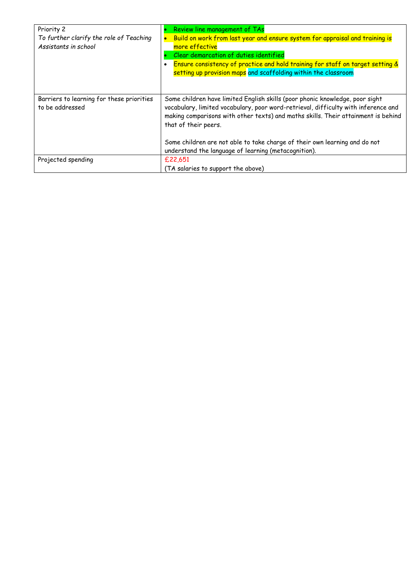| Priority 2<br>To further clarify the role of Teaching<br>Assistants in school | Review line management of TAs<br>Build on work from last year and ensure system for appraisal and training is<br>more effective<br>Clear demarcation of duties identified<br>Ensure consistency of practice and hold training for staff on target setting &<br>setting up provision maps and scaffolding within the classroom                                                                                         |  |  |  |
|-------------------------------------------------------------------------------|-----------------------------------------------------------------------------------------------------------------------------------------------------------------------------------------------------------------------------------------------------------------------------------------------------------------------------------------------------------------------------------------------------------------------|--|--|--|
| Barriers to learning for these priorities<br>to be addressed                  | Some children have limited English skills (poor phonic knowledge, poor sight<br>vocabulary, limited vocabulary, poor word-retrieval, difficulty with inference and<br>making comparisons with other texts) and maths skills. Their attainment is behind<br>that of their peers.<br>Some children are not able to take charge of their own learning and do not<br>understand the language of learning (metacognition). |  |  |  |
| Projected spending                                                            | £22,651<br>(TA salaries to support the above)                                                                                                                                                                                                                                                                                                                                                                         |  |  |  |